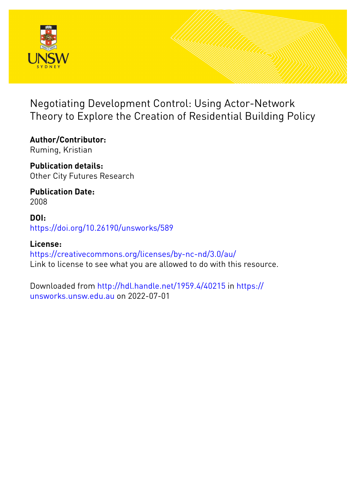

# Negotiating Development Control: Using Actor-Network Theory to Explore the Creation of Residential Building Policy

**Author/Contributor:** Ruming, Kristian

**Publication details:** Other City Futures Research

**Publication Date:** 2008

**DOI:** [https://doi.org/10.26190/unsworks/589](http://dx.doi.org/https://doi.org/10.26190/unsworks/589)

**License:** <https://creativecommons.org/licenses/by-nc-nd/3.0/au/> Link to license to see what you are allowed to do with this resource.

Downloaded from <http://hdl.handle.net/1959.4/40215> in [https://](https://unsworks.unsw.edu.au) [unsworks.unsw.edu.au](https://unsworks.unsw.edu.au) on 2022-07-01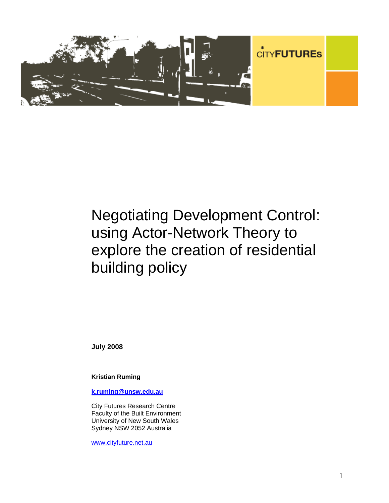

# Negotiating Development Control: using Actor-Network Theory to explore the creation of residential building policy

**July 2008** 

**Kristian Ruming** 

**k.ruming@unsw.edu.au** 

City Futures Research Centre Faculty of the Built Environment University of New South Wales Sydney NSW 2052 Australia

www.cityfuture.net.au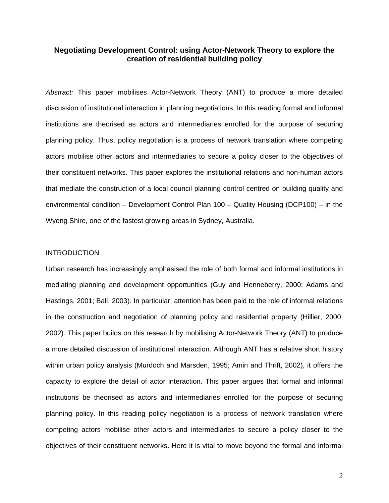## **Negotiating Development Control: using Actor-Network Theory to explore the creation of residential building policy**

*Abstract:* This paper mobilises Actor-Network Theory (ANT) to produce a more detailed discussion of institutional interaction in planning negotiations. In this reading formal and informal institutions are theorised as actors and intermediaries enrolled for the purpose of securing planning policy. Thus, policy negotiation is a process of network translation where competing actors mobilise other actors and intermediaries to secure a policy closer to the objectives of their constituent networks. This paper explores the institutional relations and non-human actors that mediate the construction of a local council planning control centred on building quality and environmental condition – Development Control Plan 100 – Quality Housing (DCP100) – in the Wyong Shire, one of the fastest growing areas in Sydney, Australia.

#### **INTRODUCTION**

Urban research has increasingly emphasised the role of both formal and informal institutions in mediating planning and development opportunities (Guy and Henneberry, 2000; Adams and Hastings, 2001; Ball, 2003). In particular, attention has been paid to the role of informal relations in the construction and negotiation of planning policy and residential property (Hillier, 2000; 2002). This paper builds on this research by mobilising Actor-Network Theory (ANT) to produce a more detailed discussion of institutional interaction. Although ANT has a relative short history within urban policy analysis (Murdoch and Marsden, 1995; Amin and Thrift, 2002), it offers the capacity to explore the detail of actor interaction. This paper argues that formal and informal institutions be theorised as actors and intermediaries enrolled for the purpose of securing planning policy. In this reading policy negotiation is a process of network translation where competing actors mobilise other actors and intermediaries to secure a policy closer to the objectives of their constituent networks. Here it is vital to move beyond the formal and informal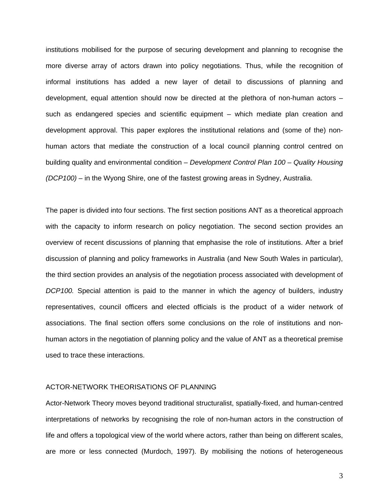institutions mobilised for the purpose of securing development and planning to recognise the more diverse array of actors drawn into policy negotiations. Thus, while the recognition of informal institutions has added a new layer of detail to discussions of planning and development, equal attention should now be directed at the plethora of non-human actors – such as endangered species and scientific equipment – which mediate plan creation and development approval. This paper explores the institutional relations and (some of the) nonhuman actors that mediate the construction of a local council planning control centred on building quality and environmental condition – *Development Control Plan 100 – Quality Housing (DCP100) –* in the Wyong Shire, one of the fastest growing areas in Sydney, Australia.

The paper is divided into four sections. The first section positions ANT as a theoretical approach with the capacity to inform research on policy negotiation. The second section provides an overview of recent discussions of planning that emphasise the role of institutions. After a brief discussion of planning and policy frameworks in Australia (and New South Wales in particular), the third section provides an analysis of the negotiation process associated with development of *DCP100.* Special attention is paid to the manner in which the agency of builders, industry representatives, council officers and elected officials is the product of a wider network of associations. The final section offers some conclusions on the role of institutions and nonhuman actors in the negotiation of planning policy and the value of ANT as a theoretical premise used to trace these interactions.

#### ACTOR-NETWORK THEORISATIONS OF PLANNING

Actor-Network Theory moves beyond traditional structuralist, spatially-fixed, and human-centred interpretations of networks by recognising the role of non-human actors in the construction of life and offers a topological view of the world where actors, rather than being on different scales, are more or less connected (Murdoch, 1997). By mobilising the notions of heterogeneous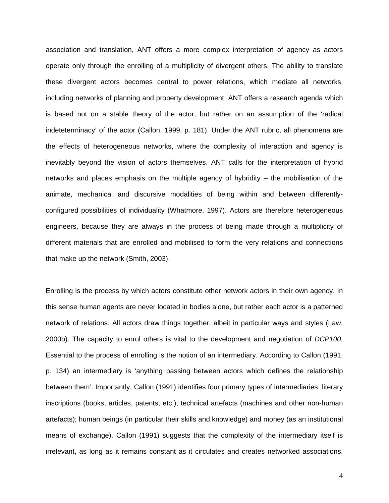association and translation, ANT offers a more complex interpretation of agency as actors operate only through the enrolling of a multiplicity of divergent others. The ability to translate these divergent actors becomes central to power relations, which mediate all networks, including networks of planning and property development. ANT offers a research agenda which is based not on a stable theory of the actor, but rather on an assumption of the 'radical indeteterminacy' of the actor (Callon, 1999, p. 181). Under the ANT rubric, all phenomena are the effects of heterogeneous networks, where the complexity of interaction and agency is inevitably beyond the vision of actors themselves. ANT calls for the interpretation of hybrid networks and places emphasis on the multiple agency of hybridity – the mobilisation of the animate, mechanical and discursive modalities of being within and between differentlyconfigured possibilities of individuality (Whatmore, 1997). Actors are therefore heterogeneous engineers, because they are always in the process of being made through a multiplicity of different materials that are enrolled and mobilised to form the very relations and connections that make up the network (Smith, 2003).

Enrolling is the process by which actors constitute other network actors in their own agency. In this sense human agents are never located in bodies alone, but rather each actor is a patterned network of relations. All actors draw things together, albeit in particular ways and styles (Law, 2000b). The capacity to enrol others is vital to the development and negotiation of *DCP100.*  Essential to the process of enrolling is the notion of an intermediary. According to Callon (1991, p. 134) an intermediary is 'anything passing between actors which defines the relationship between them'. Importantly, Callon (1991) identifies four primary types of intermediaries: literary inscriptions (books, articles, patents, etc.); technical artefacts (machines and other non-human artefacts); human beings (in particular their skills and knowledge) and money (as an institutional means of exchange). Callon (1991) suggests that the complexity of the intermediary itself is irrelevant, as long as it remains constant as it circulates and creates networked associations.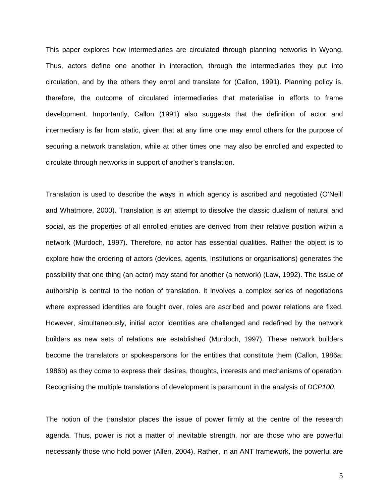This paper explores how intermediaries are circulated through planning networks in Wyong. Thus, actors define one another in interaction, through the intermediaries they put into circulation, and by the others they enrol and translate for (Callon, 1991). Planning policy is, therefore, the outcome of circulated intermediaries that materialise in efforts to frame development. Importantly, Callon (1991) also suggests that the definition of actor and intermediary is far from static, given that at any time one may enrol others for the purpose of securing a network translation, while at other times one may also be enrolled and expected to circulate through networks in support of another's translation.

Translation is used to describe the ways in which agency is ascribed and negotiated (O'Neill and Whatmore, 2000). Translation is an attempt to dissolve the classic dualism of natural and social, as the properties of all enrolled entities are derived from their relative position within a network (Murdoch, 1997). Therefore, no actor has essential qualities. Rather the object is to explore how the ordering of actors (devices, agents, institutions or organisations) generates the possibility that one thing (an actor) may stand for another (a network) (Law, 1992). The issue of authorship is central to the notion of translation. It involves a complex series of negotiations where expressed identities are fought over, roles are ascribed and power relations are fixed. However, simultaneously, initial actor identities are challenged and redefined by the network builders as new sets of relations are established (Murdoch, 1997). These network builders become the translators or spokespersons for the entities that constitute them (Callon, 1986a; 1986b) as they come to express their desires, thoughts, interests and mechanisms of operation. Recognising the multiple translations of development is paramount in the analysis of *DCP100*.

The notion of the translator places the issue of power firmly at the centre of the research agenda. Thus, power is not a matter of inevitable strength, nor are those who are powerful necessarily those who hold power (Allen, 2004). Rather, in an ANT framework, the powerful are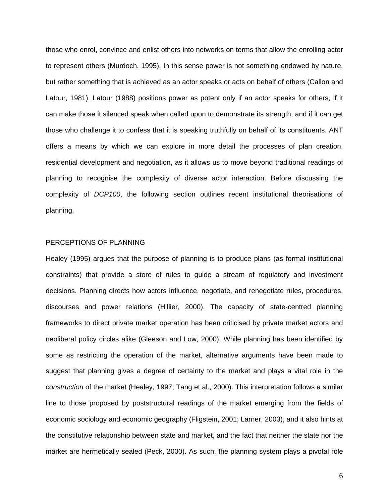those who enrol, convince and enlist others into networks on terms that allow the enrolling actor to represent others (Murdoch, 1995). In this sense power is not something endowed by nature, but rather something that is achieved as an actor speaks or acts on behalf of others (Callon and Latour, 1981). Latour (1988) positions power as potent only if an actor speaks for others, if it can make those it silenced speak when called upon to demonstrate its strength, and if it can get those who challenge it to confess that it is speaking truthfully on behalf of its constituents. ANT offers a means by which we can explore in more detail the processes of plan creation, residential development and negotiation, as it allows us to move beyond traditional readings of planning to recognise the complexity of diverse actor interaction. Before discussing the complexity of *DCP100*, the following section outlines recent institutional theorisations of planning.

#### PERCEPTIONS OF PLANNING

Healey (1995) argues that the purpose of planning is to produce plans (as formal institutional constraints) that provide a store of rules to guide a stream of regulatory and investment decisions. Planning directs how actors influence, negotiate, and renegotiate rules, procedures, discourses and power relations (Hillier, 2000). The capacity of state-centred planning frameworks to direct private market operation has been criticised by private market actors and neoliberal policy circles alike (Gleeson and Low, 2000). While planning has been identified by some as restricting the operation of the market, alternative arguments have been made to suggest that planning gives a degree of certainty to the market and plays a vital role in the *construction* of the market (Healey, 1997; Tang et al., 2000). This interpretation follows a similar line to those proposed by poststructural readings of the market emerging from the fields of economic sociology and economic geography (Fligstein, 2001; Larner, 2003), and it also hints at the constitutive relationship between state and market, and the fact that neither the state nor the market are hermetically sealed (Peck, 2000). As such, the planning system plays a pivotal role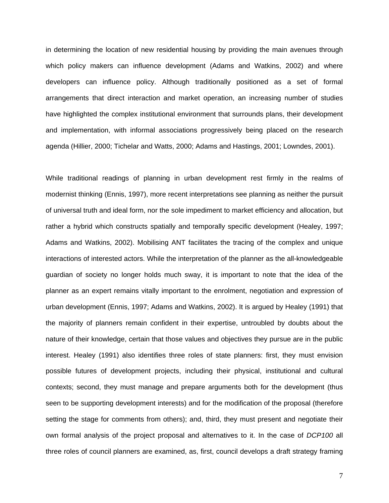in determining the location of new residential housing by providing the main avenues through which policy makers can influence development (Adams and Watkins, 2002) and where developers can influence policy. Although traditionally positioned as a set of formal arrangements that direct interaction and market operation, an increasing number of studies have highlighted the complex institutional environment that surrounds plans, their development and implementation, with informal associations progressively being placed on the research agenda (Hillier, 2000; Tichelar and Watts, 2000; Adams and Hastings, 2001; Lowndes, 2001).

While traditional readings of planning in urban development rest firmly in the realms of modernist thinking (Ennis, 1997), more recent interpretations see planning as neither the pursuit of universal truth and ideal form, nor the sole impediment to market efficiency and allocation, but rather a hybrid which constructs spatially and temporally specific development (Healey, 1997; Adams and Watkins, 2002). Mobilising ANT facilitates the tracing of the complex and unique interactions of interested actors. While the interpretation of the planner as the all-knowledgeable guardian of society no longer holds much sway, it is important to note that the idea of the planner as an expert remains vitally important to the enrolment, negotiation and expression of urban development (Ennis, 1997; Adams and Watkins, 2002). It is argued by Healey (1991) that the majority of planners remain confident in their expertise, untroubled by doubts about the nature of their knowledge, certain that those values and objectives they pursue are in the public interest. Healey (1991) also identifies three roles of state planners: first, they must envision possible futures of development projects, including their physical, institutional and cultural contexts; second, they must manage and prepare arguments both for the development (thus seen to be supporting development interests) and for the modification of the proposal (therefore setting the stage for comments from others); and, third, they must present and negotiate their own formal analysis of the project proposal and alternatives to it. In the case of *DCP100* all three roles of council planners are examined, as, first, council develops a draft strategy framing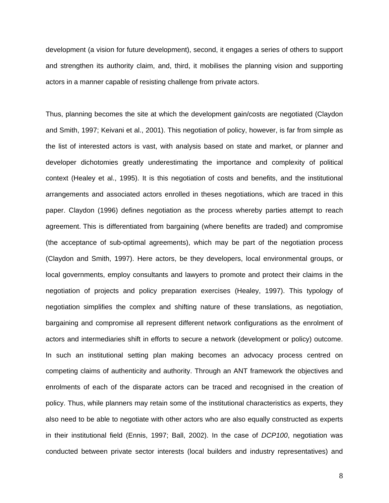development (a vision for future development), second, it engages a series of others to support and strengthen its authority claim, and, third, it mobilises the planning vision and supporting actors in a manner capable of resisting challenge from private actors.

Thus, planning becomes the site at which the development gain/costs are negotiated (Claydon and Smith, 1997; Keivani et al., 2001). This negotiation of policy, however, is far from simple as the list of interested actors is vast, with analysis based on state and market, or planner and developer dichotomies greatly underestimating the importance and complexity of political context (Healey et al., 1995). It is this negotiation of costs and benefits, and the institutional arrangements and associated actors enrolled in theses negotiations, which are traced in this paper. Claydon (1996) defines negotiation as the process whereby parties attempt to reach agreement. This is differentiated from bargaining (where benefits are traded) and compromise (the acceptance of sub-optimal agreements), which may be part of the negotiation process (Claydon and Smith, 1997). Here actors, be they developers, local environmental groups, or local governments, employ consultants and lawyers to promote and protect their claims in the negotiation of projects and policy preparation exercises (Healey, 1997). This typology of negotiation simplifies the complex and shifting nature of these translations, as negotiation, bargaining and compromise all represent different network configurations as the enrolment of actors and intermediaries shift in efforts to secure a network (development or policy) outcome. In such an institutional setting plan making becomes an advocacy process centred on competing claims of authenticity and authority. Through an ANT framework the objectives and enrolments of each of the disparate actors can be traced and recognised in the creation of policy. Thus, while planners may retain some of the institutional characteristics as experts, they also need to be able to negotiate with other actors who are also equally constructed as experts in their institutional field (Ennis, 1997; Ball, 2002). In the case of *DCP100*, negotiation was conducted between private sector interests (local builders and industry representatives) and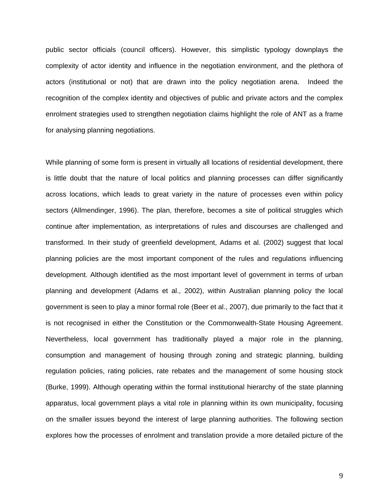public sector officials (council officers). However, this simplistic typology downplays the complexity of actor identity and influence in the negotiation environment, and the plethora of actors (institutional or not) that are drawn into the policy negotiation arena. Indeed the recognition of the complex identity and objectives of public and private actors and the complex enrolment strategies used to strengthen negotiation claims highlight the role of ANT as a frame for analysing planning negotiations.

While planning of some form is present in virtually all locations of residential development, there is little doubt that the nature of local politics and planning processes can differ significantly across locations, which leads to great variety in the nature of processes even within policy sectors (Allmendinger, 1996). The plan, therefore, becomes a site of political struggles which continue after implementation, as interpretations of rules and discourses are challenged and transformed. In their study of greenfield development, Adams et al. (2002) suggest that local planning policies are the most important component of the rules and regulations influencing development. Although identified as the most important level of government in terms of urban planning and development (Adams et al., 2002), within Australian planning policy the local government is seen to play a minor formal role (Beer et al., 2007), due primarily to the fact that it is not recognised in either the Constitution or the Commonwealth-State Housing Agreement. Nevertheless, local government has traditionally played a major role in the planning, consumption and management of housing through zoning and strategic planning, building regulation policies, rating policies, rate rebates and the management of some housing stock (Burke, 1999). Although operating within the formal institutional hierarchy of the state planning apparatus, local government plays a vital role in planning within its own municipality, focusing on the smaller issues beyond the interest of large planning authorities. The following section explores how the processes of enrolment and translation provide a more detailed picture of the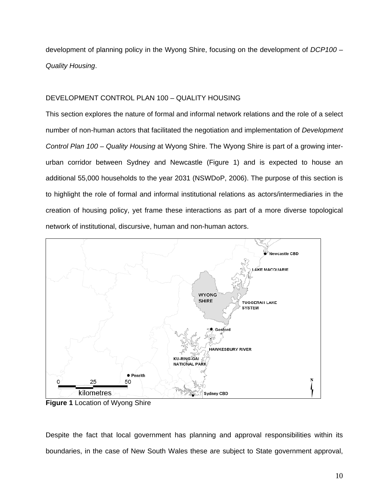development of planning policy in the Wyong Shire, focusing on the development of *DCP100 – Quality Housing*.

## DEVELOPMENT CONTROL PLAN 100 – QUALITY HOUSING

This section explores the nature of formal and informal network relations and the role of a select number of non-human actors that facilitated the negotiation and implementation of *Development Control Plan 100 – Quality Housing* at Wyong Shire. The Wyong Shire is part of a growing interurban corridor between Sydney and Newcastle (Figure 1) and is expected to house an additional 55,000 households to the year 2031 (NSWDoP, 2006). The purpose of this section is to highlight the role of formal and informal institutional relations as actors/intermediaries in the creation of housing policy, yet frame these interactions as part of a more diverse topological network of institutional, discursive, human and non-human actors.



**Figure 1** Location of Wyong Shire

Despite the fact that local government has planning and approval responsibilities within its boundaries, in the case of New South Wales these are subject to State government approval,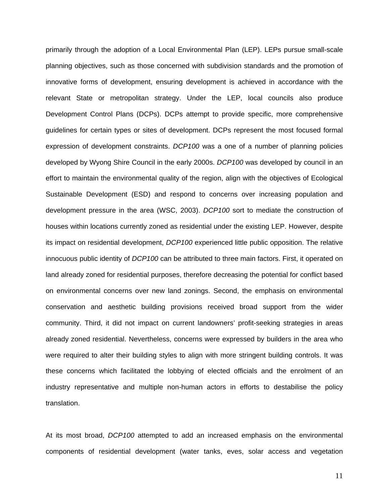primarily through the adoption of a Local Environmental Plan (LEP). LEPs pursue small-scale planning objectives, such as those concerned with subdivision standards and the promotion of innovative forms of development, ensuring development is achieved in accordance with the relevant State or metropolitan strategy. Under the LEP, local councils also produce Development Control Plans (DCPs). DCPs attempt to provide specific, more comprehensive guidelines for certain types or sites of development. DCPs represent the most focused formal expression of development constraints. *DCP100* was a one of a number of planning policies developed by Wyong Shire Council in the early 2000s. *DCP100* was developed by council in an effort to maintain the environmental quality of the region, align with the objectives of Ecological Sustainable Development (ESD) and respond to concerns over increasing population and development pressure in the area (WSC, 2003). *DCP100* sort to mediate the construction of houses within locations currently zoned as residential under the existing LEP. However, despite its impact on residential development, *DCP100* experienced little public opposition. The relative innocuous public identity of *DCP100* can be attributed to three main factors. First, it operated on land already zoned for residential purposes, therefore decreasing the potential for conflict based on environmental concerns over new land zonings. Second, the emphasis on environmental conservation and aesthetic building provisions received broad support from the wider community. Third, it did not impact on current landowners' profit-seeking strategies in areas already zoned residential. Nevertheless, concerns were expressed by builders in the area who were required to alter their building styles to align with more stringent building controls. It was these concerns which facilitated the lobbying of elected officials and the enrolment of an industry representative and multiple non-human actors in efforts to destabilise the policy translation.

At its most broad, *DCP100* attempted to add an increased emphasis on the environmental components of residential development (water tanks, eves, solar access and vegetation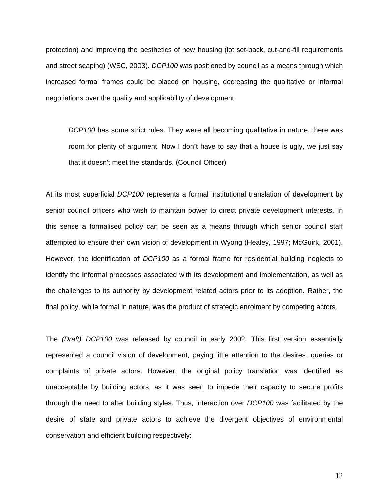protection) and improving the aesthetics of new housing (lot set-back, cut-and-fill requirements and street scaping) (WSC, 2003). *DCP100* was positioned by council as a means through which increased formal frames could be placed on housing, decreasing the qualitative or informal negotiations over the quality and applicability of development:

*DCP100* has some strict rules. They were all becoming qualitative in nature, there was room for plenty of argument. Now I don't have to say that a house is ugly, we just say that it doesn't meet the standards. (Council Officer)

At its most superficial *DCP100* represents a formal institutional translation of development by senior council officers who wish to maintain power to direct private development interests. In this sense a formalised policy can be seen as a means through which senior council staff attempted to ensure their own vision of development in Wyong (Healey, 1997; McGuirk, 2001). However, the identification of *DCP100* as a formal frame for residential building neglects to identify the informal processes associated with its development and implementation, as well as the challenges to its authority by development related actors prior to its adoption. Rather, the final policy, while formal in nature, was the product of strategic enrolment by competing actors.

The *(Draft) DCP100* was released by council in early 2002. This first version essentially represented a council vision of development, paying little attention to the desires, queries or complaints of private actors. However, the original policy translation was identified as unacceptable by building actors, as it was seen to impede their capacity to secure profits through the need to alter building styles. Thus, interaction over *DCP100* was facilitated by the desire of state and private actors to achieve the divergent objectives of environmental conservation and efficient building respectively: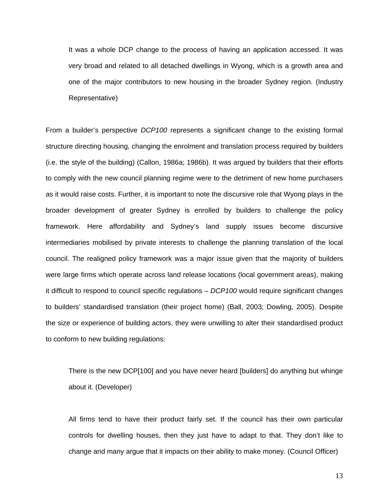It was a whole DCP change to the process of having an application accessed. It was very broad and related to all detached dwellings in Wyong, which is a growth area and one of the major contributors to new housing in the broader Sydney region. (Industry Representative)

From a builder's perspective *DCP100* represents a significant change to the existing formal structure directing housing, changing the enrolment and translation process required by builders (i.e. the style of the building) (Callon, 1986a; 1986b). It was argued by builders that their efforts to comply with the new council planning regime were to the detriment of new home purchasers as it would raise costs. Further, it is important to note the discursive role that Wyong plays in the broader development of greater Sydney is enrolled by builders to challenge the policy framework. Here affordability and Sydney's land supply issues become discursive intermediaries mobilised by private interests to challenge the planning translation of the local council. The realigned policy framework was a major issue given that the majority of builders were large firms which operate across land release locations (local government areas), making it difficult to respond to council specific regulations – *DCP100* would require significant changes to builders' standardised translation (their project home) (Ball, 2003; Dowling, 2005). Despite the size or experience of building actors, they were unwilling to alter their standardised product to conform to new building regulations:

There is the new DCP[100] and you have never heard [builders] do anything but whinge about it. (Developer)

All firms tend to have their product fairly set. If the council has their own particular controls for dwelling houses, then they just have to adapt to that. They don't like to change and many argue that it impacts on their ability to make money. (Council Officer)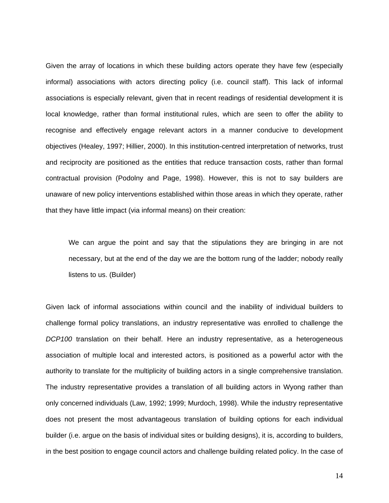Given the array of locations in which these building actors operate they have few (especially informal) associations with actors directing policy (i.e. council staff). This lack of informal associations is especially relevant, given that in recent readings of residential development it is local knowledge, rather than formal institutional rules, which are seen to offer the ability to recognise and effectively engage relevant actors in a manner conducive to development objectives (Healey, 1997; Hillier, 2000). In this institution-centred interpretation of networks, trust and reciprocity are positioned as the entities that reduce transaction costs, rather than formal contractual provision (Podolny and Page, 1998). However, this is not to say builders are unaware of new policy interventions established within those areas in which they operate, rather that they have little impact (via informal means) on their creation:

We can argue the point and say that the stipulations they are bringing in are not necessary, but at the end of the day we are the bottom rung of the ladder; nobody really listens to us. (Builder)

Given lack of informal associations within council and the inability of individual builders to challenge formal policy translations, an industry representative was enrolled to challenge the *DCP100* translation on their behalf. Here an industry representative, as a heterogeneous association of multiple local and interested actors, is positioned as a powerful actor with the authority to translate for the multiplicity of building actors in a single comprehensive translation. The industry representative provides a translation of all building actors in Wyong rather than only concerned individuals (Law, 1992; 1999; Murdoch, 1998). While the industry representative does not present the most advantageous translation of building options for each individual builder (i.e. argue on the basis of individual sites or building designs), it is, according to builders, in the best position to engage council actors and challenge building related policy. In the case of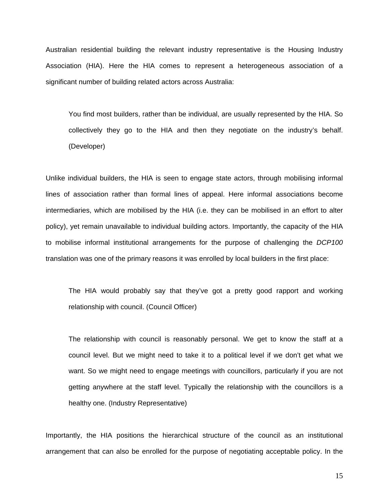Australian residential building the relevant industry representative is the Housing Industry Association (HIA). Here the HIA comes to represent a heterogeneous association of a significant number of building related actors across Australia:

You find most builders, rather than be individual, are usually represented by the HIA. So collectively they go to the HIA and then they negotiate on the industry's behalf. (Developer)

Unlike individual builders, the HIA is seen to engage state actors, through mobilising informal lines of association rather than formal lines of appeal. Here informal associations become intermediaries, which are mobilised by the HIA (i.e. they can be mobilised in an effort to alter policy), yet remain unavailable to individual building actors. Importantly, the capacity of the HIA to mobilise informal institutional arrangements for the purpose of challenging the *DCP100*  translation was one of the primary reasons it was enrolled by local builders in the first place:

The HIA would probably say that they've got a pretty good rapport and working relationship with council. (Council Officer)

The relationship with council is reasonably personal. We get to know the staff at a council level. But we might need to take it to a political level if we don't get what we want. So we might need to engage meetings with councillors, particularly if you are not getting anywhere at the staff level. Typically the relationship with the councillors is a healthy one. (Industry Representative)

Importantly, the HIA positions the hierarchical structure of the council as an institutional arrangement that can also be enrolled for the purpose of negotiating acceptable policy. In the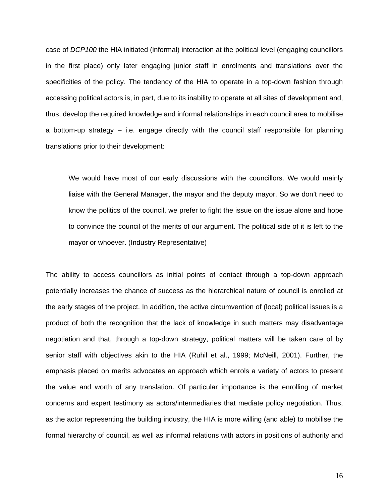case of *DCP100* the HIA initiated (informal) interaction at the political level (engaging councillors in the first place) only later engaging junior staff in enrolments and translations over the specificities of the policy. The tendency of the HIA to operate in a top-down fashion through accessing political actors is, in part, due to its inability to operate at all sites of development and, thus, develop the required knowledge and informal relationships in each council area to mobilise a bottom-up strategy – i.e. engage directly with the council staff responsible for planning translations prior to their development:

We would have most of our early discussions with the councillors. We would mainly liaise with the General Manager, the mayor and the deputy mayor. So we don't need to know the politics of the council, we prefer to fight the issue on the issue alone and hope to convince the council of the merits of our argument. The political side of it is left to the mayor or whoever. (Industry Representative)

The ability to access councillors as initial points of contact through a top-down approach potentially increases the chance of success as the hierarchical nature of council is enrolled at the early stages of the project. In addition, the active circumvention of (local) political issues is a product of both the recognition that the lack of knowledge in such matters may disadvantage negotiation and that, through a top-down strategy, political matters will be taken care of by senior staff with objectives akin to the HIA (Ruhil et al., 1999; McNeill, 2001). Further, the emphasis placed on merits advocates an approach which enrols a variety of actors to present the value and worth of any translation. Of particular importance is the enrolling of market concerns and expert testimony as actors/intermediaries that mediate policy negotiation. Thus, as the actor representing the building industry, the HIA is more willing (and able) to mobilise the formal hierarchy of council, as well as informal relations with actors in positions of authority and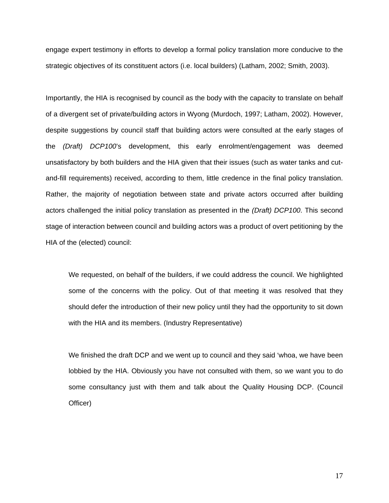engage expert testimony in efforts to develop a formal policy translation more conducive to the strategic objectives of its constituent actors (i.e. local builders) (Latham, 2002; Smith, 2003).

Importantly, the HIA is recognised by council as the body with the capacity to translate on behalf of a divergent set of private/building actors in Wyong (Murdoch, 1997; Latham, 2002). However, despite suggestions by council staff that building actors were consulted at the early stages of the *(Draft) DCP100*'s development, this early enrolment/engagement was deemed unsatisfactory by both builders and the HIA given that their issues (such as water tanks and cutand-fill requirements) received, according to them, little credence in the final policy translation. Rather, the majority of negotiation between state and private actors occurred after building actors challenged the initial policy translation as presented in the *(Draft) DCP100*. This second stage of interaction between council and building actors was a product of overt petitioning by the HIA of the (elected) council:

We requested, on behalf of the builders, if we could address the council. We highlighted some of the concerns with the policy. Out of that meeting it was resolved that they should defer the introduction of their new policy until they had the opportunity to sit down with the HIA and its members. (Industry Representative)

We finished the draft DCP and we went up to council and they said 'whoa, we have been lobbied by the HIA. Obviously you have not consulted with them, so we want you to do some consultancy just with them and talk about the Quality Housing DCP. (Council Officer)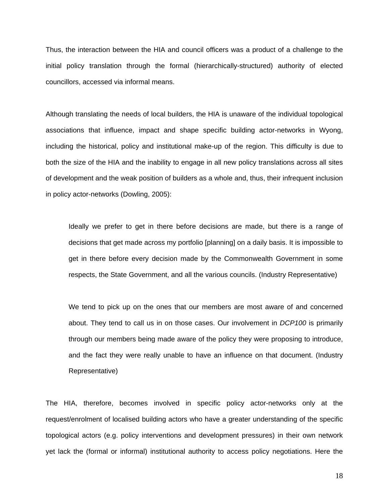Thus, the interaction between the HIA and council officers was a product of a challenge to the initial policy translation through the formal (hierarchically-structured) authority of elected councillors, accessed via informal means.

Although translating the needs of local builders, the HIA is unaware of the individual topological associations that influence, impact and shape specific building actor-networks in Wyong, including the historical, policy and institutional make-up of the region. This difficulty is due to both the size of the HIA and the inability to engage in all new policy translations across all sites of development and the weak position of builders as a whole and, thus, their infrequent inclusion in policy actor-networks (Dowling, 2005):

Ideally we prefer to get in there before decisions are made, but there is a range of decisions that get made across my portfolio [planning] on a daily basis. It is impossible to get in there before every decision made by the Commonwealth Government in some respects, the State Government, and all the various councils. (Industry Representative)

We tend to pick up on the ones that our members are most aware of and concerned about. They tend to call us in on those cases. Our involvement in *DCP100* is primarily through our members being made aware of the policy they were proposing to introduce, and the fact they were really unable to have an influence on that document. (Industry Representative)

The HIA, therefore, becomes involved in specific policy actor-networks only at the request/enrolment of localised building actors who have a greater understanding of the specific topological actors (e.g. policy interventions and development pressures) in their own network yet lack the (formal or informal) institutional authority to access policy negotiations. Here the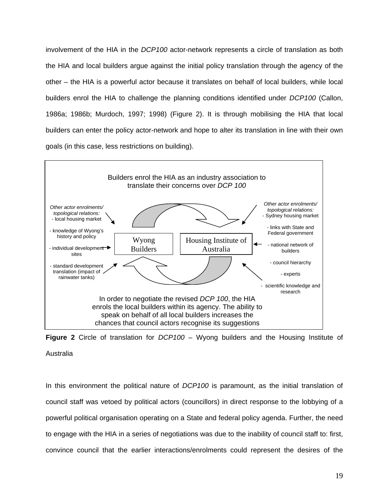involvement of the HIA in the *DCP100* actor-network represents a circle of translation as both the HIA and local builders argue against the initial policy translation through the agency of the other – the HIA is a powerful actor because it translates on behalf of local builders, while local builders enrol the HIA to challenge the planning conditions identified under *DCP100* (Callon, 1986a; 1986b; Murdoch, 1997; 1998) (Figure 2). It is through mobilising the HIA that local builders can enter the policy actor-network and hope to alter its translation in line with their own goals (in this case, less restrictions on building).



**Figure 2** Circle of translation for *DCP100* – Wyong builders and the Housing Institute of Australia

In this environment the political nature of *DCP100* is paramount, as the initial translation of council staff was vetoed by political actors (councillors) in direct response to the lobbying of a powerful political organisation operating on a State and federal policy agenda. Further, the need to engage with the HIA in a series of negotiations was due to the inability of council staff to: first, convince council that the earlier interactions/enrolments could represent the desires of the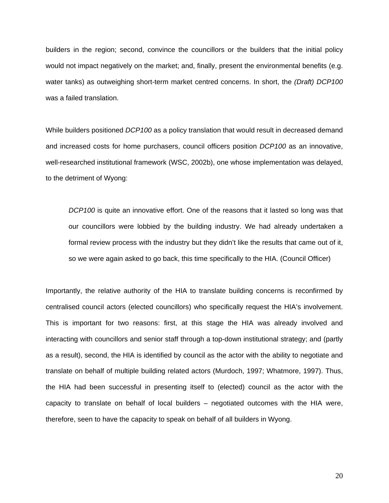builders in the region; second, convince the councillors or the builders that the initial policy would not impact negatively on the market; and, finally, present the environmental benefits (e.g. water tanks) as outweighing short-term market centred concerns. In short, the *(Draft) DCP100* was a failed translation.

While builders positioned *DCP100* as a policy translation that would result in decreased demand and increased costs for home purchasers, council officers position *DCP100* as an innovative, well-researched institutional framework (WSC, 2002b), one whose implementation was delayed, to the detriment of Wyong:

*DCP100* is quite an innovative effort. One of the reasons that it lasted so long was that our councillors were lobbied by the building industry. We had already undertaken a formal review process with the industry but they didn't like the results that came out of it, so we were again asked to go back, this time specifically to the HIA. (Council Officer)

Importantly, the relative authority of the HIA to translate building concerns is reconfirmed by centralised council actors (elected councillors) who specifically request the HIA's involvement. This is important for two reasons: first, at this stage the HIA was already involved and interacting with councillors and senior staff through a top-down institutional strategy; and (partly as a result), second, the HIA is identified by council as the actor with the ability to negotiate and translate on behalf of multiple building related actors (Murdoch, 1997; Whatmore, 1997). Thus, the HIA had been successful in presenting itself to (elected) council as the actor with the capacity to translate on behalf of local builders – negotiated outcomes with the HIA were, therefore, seen to have the capacity to speak on behalf of all builders in Wyong.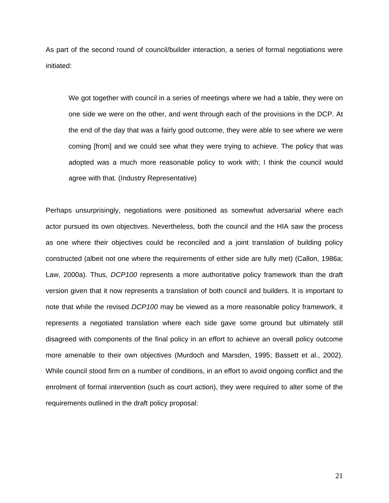As part of the second round of council/builder interaction, a series of formal negotiations were initiated:

We got together with council in a series of meetings where we had a table, they were on one side we were on the other, and went through each of the provisions in the DCP. At the end of the day that was a fairly good outcome, they were able to see where we were coming [from] and we could see what they were trying to achieve. The policy that was adopted was a much more reasonable policy to work with; I think the council would agree with that. (Industry Representative)

Perhaps unsurprisingly, negotiations were positioned as somewhat adversarial where each actor pursued its own objectives. Nevertheless, both the council and the HIA saw the process as one where their objectives could be reconciled and a joint translation of building policy constructed (albeit not one where the requirements of either side are fully met) (Callon, 1986a; Law, 2000a). Thus, *DCP100* represents a more authoritative policy framework than the draft version given that it now represents a translation of both council and builders. It is important to note that while the revised *DCP100* may be viewed as a more reasonable policy framework, it represents a negotiated translation where each side gave some ground but ultimately still disagreed with components of the final policy in an effort to achieve an overall policy outcome more amenable to their own objectives (Murdoch and Marsden, 1995; Bassett et al., 2002). While council stood firm on a number of conditions, in an effort to avoid ongoing conflict and the enrolment of formal intervention (such as court action), they were required to alter some of the requirements outlined in the draft policy proposal: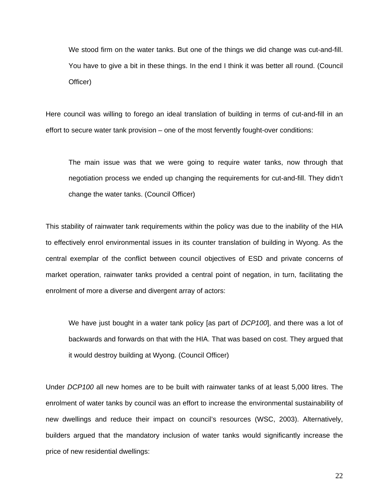We stood firm on the water tanks. But one of the things we did change was cut-and-fill. You have to give a bit in these things. In the end I think it was better all round. (Council Officer)

Here council was willing to forego an ideal translation of building in terms of cut-and-fill in an effort to secure water tank provision – one of the most fervently fought-over conditions:

The main issue was that we were going to require water tanks, now through that negotiation process we ended up changing the requirements for cut-and-fill. They didn't change the water tanks. (Council Officer)

This stability of rainwater tank requirements within the policy was due to the inability of the HIA to effectively enrol environmental issues in its counter translation of building in Wyong. As the central exemplar of the conflict between council objectives of ESD and private concerns of market operation, rainwater tanks provided a central point of negation, in turn, facilitating the enrolment of more a diverse and divergent array of actors:

We have just bought in a water tank policy [as part of *DCP100*], and there was a lot of backwards and forwards on that with the HIA. That was based on cost. They argued that it would destroy building at Wyong. (Council Officer)

Under *DCP100* all new homes are to be built with rainwater tanks of at least 5,000 litres. The enrolment of water tanks by council was an effort to increase the environmental sustainability of new dwellings and reduce their impact on council's resources (WSC, 2003). Alternatively, builders argued that the mandatory inclusion of water tanks would significantly increase the price of new residential dwellings: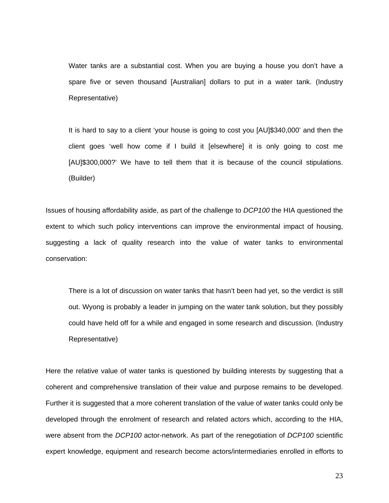Water tanks are a substantial cost. When you are buying a house you don't have a spare five or seven thousand [Australian] dollars to put in a water tank. (Industry Representative)

It is hard to say to a client 'your house is going to cost you [AU]\$340,000' and then the client goes 'well how come if I build it [elsewhere] it is only going to cost me [AU]\$300,000?' We have to tell them that it is because of the council stipulations. (Builder)

Issues of housing affordability aside, as part of the challenge to *DCP100* the HIA questioned the extent to which such policy interventions can improve the environmental impact of housing, suggesting a lack of quality research into the value of water tanks to environmental conservation:

There is a lot of discussion on water tanks that hasn't been had yet, so the verdict is still out. Wyong is probably a leader in jumping on the water tank solution, but they possibly could have held off for a while and engaged in some research and discussion. (Industry Representative)

Here the relative value of water tanks is questioned by building interests by suggesting that a coherent and comprehensive translation of their value and purpose remains to be developed. Further it is suggested that a more coherent translation of the value of water tanks could only be developed through the enrolment of research and related actors which, according to the HIA, were absent from the *DCP100* actor-network. As part of the renegotiation of *DCP100* scientific expert knowledge, equipment and research become actors/intermediaries enrolled in efforts to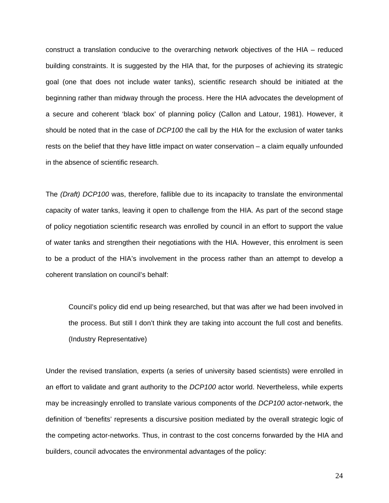construct a translation conducive to the overarching network objectives of the HIA – reduced building constraints. It is suggested by the HIA that, for the purposes of achieving its strategic goal (one that does not include water tanks), scientific research should be initiated at the beginning rather than midway through the process. Here the HIA advocates the development of a secure and coherent 'black box' of planning policy (Callon and Latour, 1981). However, it should be noted that in the case of *DCP100* the call by the HIA for the exclusion of water tanks rests on the belief that they have little impact on water conservation – a claim equally unfounded in the absence of scientific research.

The *(Draft) DCP100* was, therefore, fallible due to its incapacity to translate the environmental capacity of water tanks, leaving it open to challenge from the HIA. As part of the second stage of policy negotiation scientific research was enrolled by council in an effort to support the value of water tanks and strengthen their negotiations with the HIA. However, this enrolment is seen to be a product of the HIA's involvement in the process rather than an attempt to develop a coherent translation on council's behalf:

Council's policy did end up being researched, but that was after we had been involved in the process. But still I don't think they are taking into account the full cost and benefits. (Industry Representative)

Under the revised translation, experts (a series of university based scientists) were enrolled in an effort to validate and grant authority to the *DCP100* actor world. Nevertheless, while experts may be increasingly enrolled to translate various components of the *DCP100* actor-network, the definition of 'benefits' represents a discursive position mediated by the overall strategic logic of the competing actor-networks. Thus, in contrast to the cost concerns forwarded by the HIA and builders, council advocates the environmental advantages of the policy: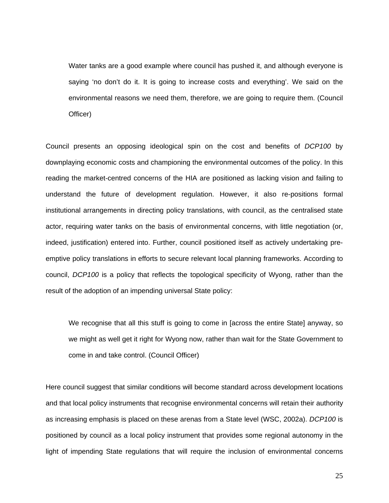Water tanks are a good example where council has pushed it, and although everyone is saying 'no don't do it. It is going to increase costs and everything'. We said on the environmental reasons we need them, therefore, we are going to require them. (Council Officer)

Council presents an opposing ideological spin on the cost and benefits of *DCP100* by downplaying economic costs and championing the environmental outcomes of the policy. In this reading the market-centred concerns of the HIA are positioned as lacking vision and failing to understand the future of development regulation. However, it also re-positions formal institutional arrangements in directing policy translations, with council, as the centralised state actor, requiring water tanks on the basis of environmental concerns, with little negotiation (or, indeed, justification) entered into. Further, council positioned itself as actively undertaking preemptive policy translations in efforts to secure relevant local planning frameworks. According to council, *DCP100* is a policy that reflects the topological specificity of Wyong, rather than the result of the adoption of an impending universal State policy:

We recognise that all this stuff is going to come in [across the entire State] anyway, so we might as well get it right for Wyong now, rather than wait for the State Government to come in and take control. (Council Officer)

Here council suggest that similar conditions will become standard across development locations and that local policy instruments that recognise environmental concerns will retain their authority as increasing emphasis is placed on these arenas from a State level (WSC, 2002a). *DCP100* is positioned by council as a local policy instrument that provides some regional autonomy in the light of impending State regulations that will require the inclusion of environmental concerns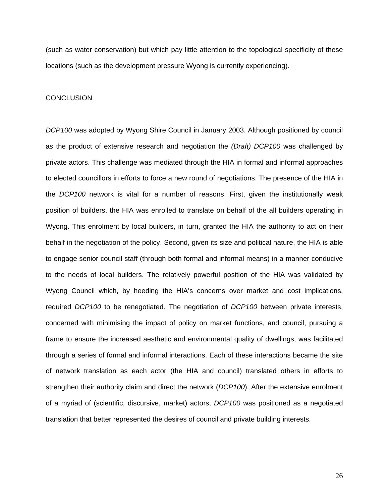(such as water conservation) but which pay little attention to the topological specificity of these locations (such as the development pressure Wyong is currently experiencing).

#### **CONCLUSION**

*DCP100* was adopted by Wyong Shire Council in January 2003. Although positioned by council as the product of extensive research and negotiation the *(Draft) DCP100* was challenged by private actors. This challenge was mediated through the HIA in formal and informal approaches to elected councillors in efforts to force a new round of negotiations. The presence of the HIA in the *DCP100* network is vital for a number of reasons. First, given the institutionally weak position of builders, the HIA was enrolled to translate on behalf of the all builders operating in Wyong. This enrolment by local builders, in turn, granted the HIA the authority to act on their behalf in the negotiation of the policy. Second, given its size and political nature, the HIA is able to engage senior council staff (through both formal and informal means) in a manner conducive to the needs of local builders. The relatively powerful position of the HIA was validated by Wyong Council which, by heeding the HIA's concerns over market and cost implications, required *DCP100* to be renegotiated. The negotiation of *DCP100* between private interests, concerned with minimising the impact of policy on market functions, and council, pursuing a frame to ensure the increased aesthetic and environmental quality of dwellings, was facilitated through a series of formal and informal interactions. Each of these interactions became the site of network translation as each actor (the HIA and council) translated others in efforts to strengthen their authority claim and direct the network (*DCP100*). After the extensive enrolment of a myriad of (scientific, discursive, market) actors, *DCP100* was positioned as a negotiated translation that better represented the desires of council and private building interests.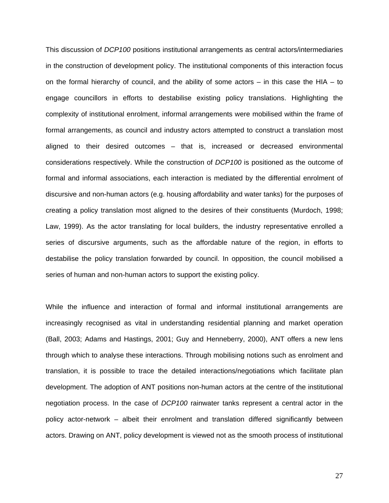This discussion of *DCP100* positions institutional arrangements as central actors/intermediaries in the construction of development policy. The institutional components of this interaction focus on the formal hierarchy of council, and the ability of some actors – in this case the HIA – to engage councillors in efforts to destabilise existing policy translations. Highlighting the complexity of institutional enrolment, informal arrangements were mobilised within the frame of formal arrangements, as council and industry actors attempted to construct a translation most aligned to their desired outcomes – that is, increased or decreased environmental considerations respectively. While the construction of *DCP100* is positioned as the outcome of formal and informal associations, each interaction is mediated by the differential enrolment of discursive and non-human actors (e.g. housing affordability and water tanks) for the purposes of creating a policy translation most aligned to the desires of their constituents (Murdoch, 1998; Law, 1999). As the actor translating for local builders, the industry representative enrolled a series of discursive arguments, such as the affordable nature of the region, in efforts to destabilise the policy translation forwarded by council. In opposition, the council mobilised a series of human and non-human actors to support the existing policy.

While the influence and interaction of formal and informal institutional arrangements are increasingly recognised as vital in understanding residential planning and market operation (Ball, 2003; Adams and Hastings, 2001; Guy and Henneberry, 2000), ANT offers a new lens through which to analyse these interactions. Through mobilising notions such as enrolment and translation, it is possible to trace the detailed interactions/negotiations which facilitate plan development. The adoption of ANT positions non-human actors at the centre of the institutional negotiation process. In the case of *DCP100* rainwater tanks represent a central actor in the policy actor-network – albeit their enrolment and translation differed significantly between actors. Drawing on ANT, policy development is viewed not as the smooth process of institutional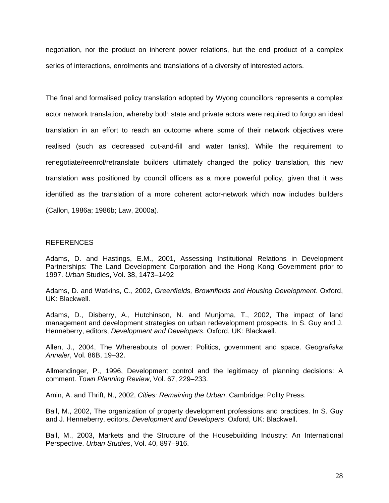negotiation, nor the product on inherent power relations, but the end product of a complex series of interactions, enrolments and translations of a diversity of interested actors.

The final and formalised policy translation adopted by Wyong councillors represents a complex actor network translation, whereby both state and private actors were required to forgo an ideal translation in an effort to reach an outcome where some of their network objectives were realised (such as decreased cut-and-fill and water tanks). While the requirement to renegotiate/reenrol/retranslate builders ultimately changed the policy translation, this new translation was positioned by council officers as a more powerful policy, given that it was identified as the translation of a more coherent actor-network which now includes builders (Callon, 1986a; 1986b; Law, 2000a).

#### REFERENCES

Adams, D. and Hastings, E.M., 2001, Assessing Institutional Relations in Development Partnerships: The Land Development Corporation and the Hong Kong Government prior to 1997. *Urban* Studies, Vol. 38, 1473–1492

Adams, D. and Watkins, C., 2002, *Greenfields, Brownfields and Housing Development*. Oxford, UK: Blackwell.

Adams, D., Disberry, A., Hutchinson, N. and Munjoma, T., 2002, The impact of land management and development strategies on urban redevelopment prospects. In S. Guy and J. Henneberry, editors, *Development and Developers*. Oxford, UK: Blackwell.

Allen, J., 2004, The Whereabouts of power: Politics, government and space. *Geografiska Annaler*, Vol. 86B, 19–32.

Allmendinger, P., 1996, Development control and the legitimacy of planning decisions: A comment. *Town Planning Review*, Vol. 67, 229–233.

Amin, A. and Thrift, N., 2002, *Cities: Remaining the Urban*. Cambridge: Polity Press.

Ball, M., 2002, The organization of property development professions and practices. In S. Guy and J. Henneberry, editors, *Development and Developers*. Oxford, UK: Blackwell.

Ball, M., 2003, Markets and the Structure of the Housebuilding Industry: An International Perspective. *Urban Studies*, Vol. 40, 897–916.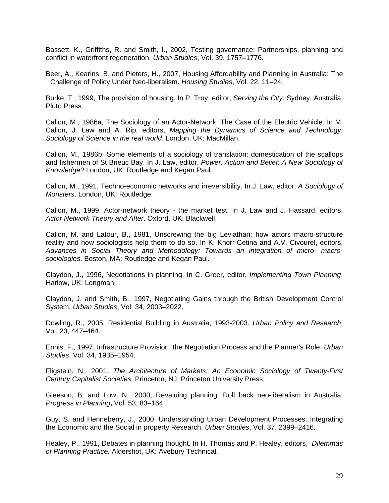Bassett, K., Griffiths, R. and Smith, I., 2002, Testing governance: Partnerships, planning and conflict in waterfront regeneration. *Urban Studies*, Vol. 39, 1757–1776.

Beer, A., Kearins, B. and Pieters, H., 2007, Housing Affordability and Planning in Australia: The Challenge of Policy Under Neo-liberalism. *Housing Studies*, Vol. 22, 11–24.

Burke, T., 1999, The provision of housing. In P. Troy, editor, *Serving the City*. Sydney, Australia: Pluto Press.

Callon, M., 1986a, The Sociology of an Actor-Network: The Case of the Electric Vehicle. In M. Callon, J. Law and A. Rip, editors, *Mapping the Dynamics of Science and Technology: Sociology of Science in the real world*. London, UK: MacMillan.

Callon, M., 1986b, Some elements of a sociology of translation: domestication of the scallops and fishermen of St Brieuc Bay. In J. Law, editor, *Power, Action and Belief: A New Sociology of Knowledge?* London, UK: Routledge and Kegan Paul.

Callon, M., 1991, Techno-economic networks and irreversibility. In J. Law, editor, *A Sociology of Monsters*. London, UK: Routledge.

Callon, M., 1999, Actor-network theory - the market test. In J. Law and J. Hassard, editors, *Actor Network Theory and After*. Oxford, UK: Blackwell.

Callon, M. and Latour, B., 1981, Unscrewing the big Leviathan: how actors macro-structure reality and how sociologists help them to do so. In K. Knorr-Cetina and A.V. Civourel, editors, *Advances in Social Theory and Methodology: Towards an integration of micro- macrosociologies*. Boston, MA: Routledge and Kegan Paul.

Claydon, J., 1996, Negotiations in planning. In C. Greer, editor, *Implementing Town Planning*. Harlow, UK: Longman.

Claydon, J. and Smith, B., 1997, Negotiating Gains through the British Development Control System. *Urban Studies*, Vol. 34, 2003–2022.

Dowling, R., 2005, Residential Building in Australia, 1993-2003. *Urban Policy and Research*, Vol. 23, 447–464.

Ennis, F., 1997, Infrastructure Provision, the Negotiation Process and the Planner's Role. *Urban Studies*, Vol. 34, 1935–1954.

Fligstein, N., 2001, *The Architecture of Markets: An Economic Sociology of Twenty-First Century Capitalist Societies.* Princeton, NJ: Princeton University Press.

Gleeson, B. and Low, N., 2000, Revaluing planning: Roll back neo-liberalism in Australia. *Progress in Planning***,** Vol. 53, 83–164.

Guy, S. and Henneberry, J., 2000, Understanding Urban Development Processes: Integrating the Economic and the Social in property Research. *Urban Studies*, Vol. 37, 2399–2416.

Healey, P., 1991, Debates in planning thought. In H. Thomas and P. Healey, editors, *Dilemmas of Planning Practice.* Aldershot, UK: Avebury Technical.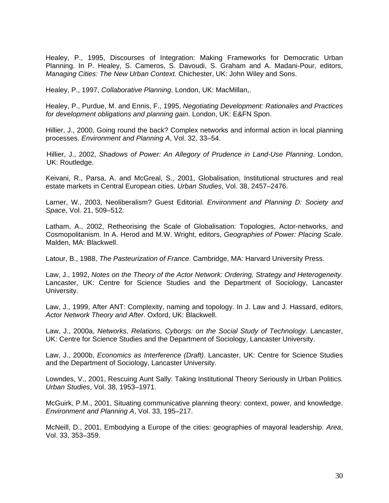Healey, P., 1995, Discourses of Integration: Making Frameworks for Democratic Urban Planning. In P. Healey, S. Cameros, S. Davoudi, S. Graham and A. Madani-Pour, editors, *Managing Cities: The New Urban Context.* Chichester, UK: John Wiley and Sons.

Healey, P., 1997, *Collaborative Planning*. London, UK: MacMillan,.

Healey, P., Purdue, M. and Ennis, F., 1995, *Negotiating Development: Rationales and Practices for development obligations and planning gain.* London, UK: E&FN Spon.

Hillier, J., 2000, Going round the back? Complex networks and informal action in local planning processes. *Environment and Planning A*, Vol. 32, 33–54.

Hillier, J., 2002, *Shadows of Power: An Allegory of Prudence in Land-Use Planning*. London, UK: Routledge.

Keivani, R., Parsa, A. and McGreal, S., 2001, Globalisation, Institutional structures and real estate markets in Central European cities. *Urban Studies*, Vol. 38, 2457–2476.

Larner, W., 2003, Neoliberalism? Guest Editorial. *Environment and Planning D: Society and Space*, Vol. 21, 509–512.

Latham, A., 2002, Retheorising the Scale of Globalisation: Topologies, Actor-networks, and Cosmopolitanism. In A. Herod and M.W. Wright, editors, *Geographies of Power: Placing Scale*. Malden, MA: Blackwell.

Latour, B., 1988, *The Pasteurization of France*. Cambridge, MA: Harvard University Press.

Law, J., 1992, *Notes on the Theory of the Actor Network: Ordering, Strategy and Heterogeneity*. Lancaster, UK: Centre for Science Studies and the Department of Sociology, Lancaster University.

Law, J., 1999, After ANT: Complexity, naming and topology. In J. Law and J. Hassard, editors, *Actor Network Theory and After*. Oxford, UK: Blackwell.

Law, J., 2000a, *Networks, Relations, Cyborgs: on the Social Study of Technology*. Lancaster, UK: Centre for Science Studies and the Department of Sociology, Lancaster University.

Law, J., 2000b, *Economics as Interference (Draft)*. Lancaster, UK: Centre for Science Studies and the Department of Sociology, Lancaster University.

Lowndes, V., 2001, Rescuing Aunt Sally: Taking Institutional Theory Seriously in Urban Politics. *Urban Studies*, Vol. 38, 1953–1971.

McGuirk, P.M., 2001, Situating communicative planning theory: context, power, and knowledge. *Environment and Planning A*, Vol. 33, 195–217.

McNeill, D., 2001, Embodying a Europe of the cities: geographies of mayoral leadership. *Area*, Vol. 33, 353–359.